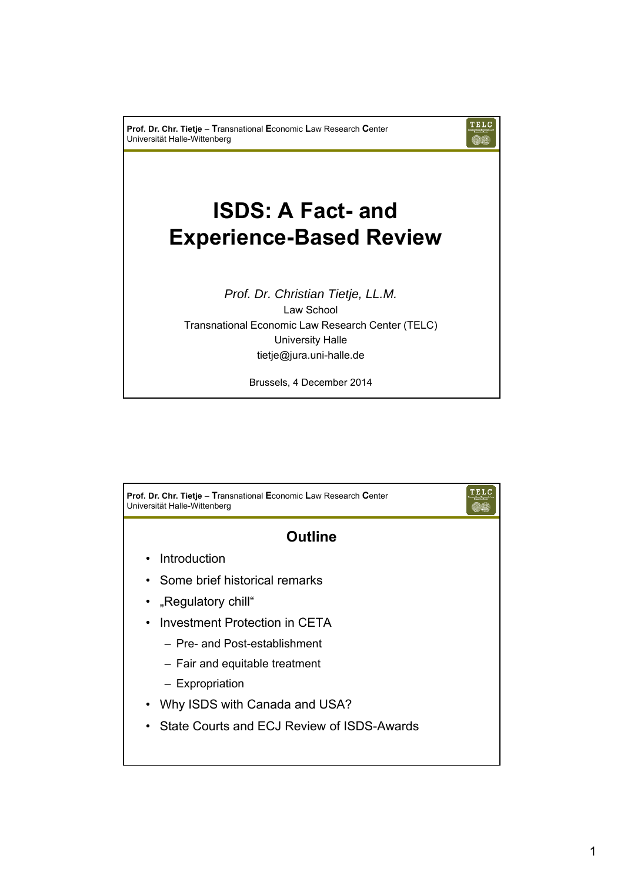**Prof. Dr. Chr. Tietje** – **T**ransnational **E**conomic **L**aw Research **C**enter Universität Halle-Wittenberg

## **ISDS: A Fact- and Experience-Based Review**

**TELC**  $\overline{\odot}$ 

*Prof. Dr. Christian Tietje, LL.M.* Law School Transnational Economic Law Research Center (TELC) University Halle tietje@jura.uni-halle.de

Brussels, 4 December 2014

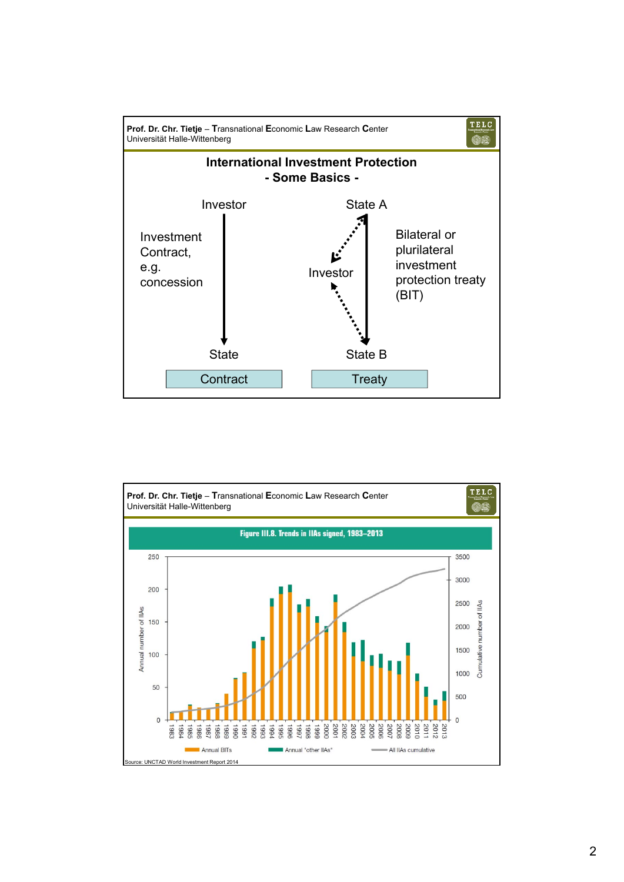

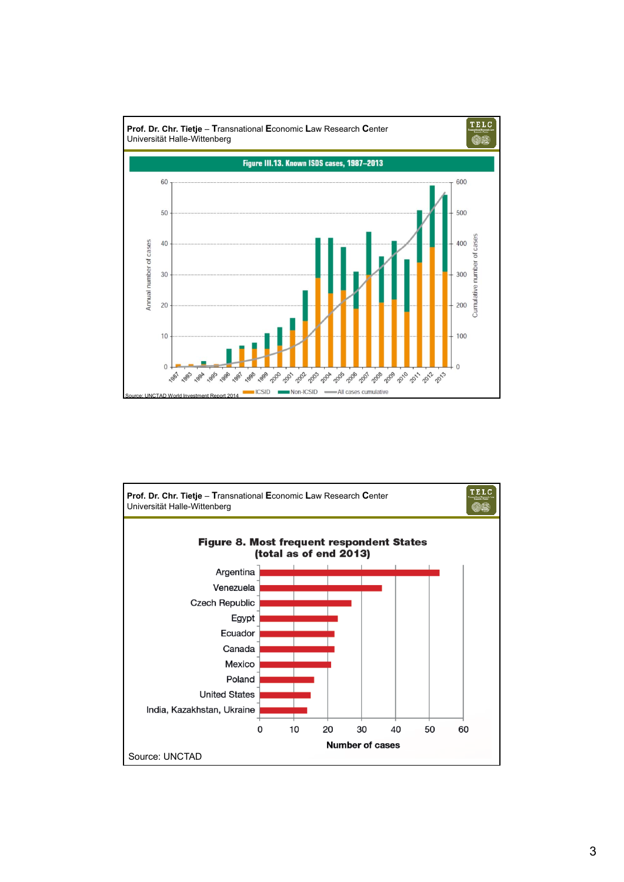

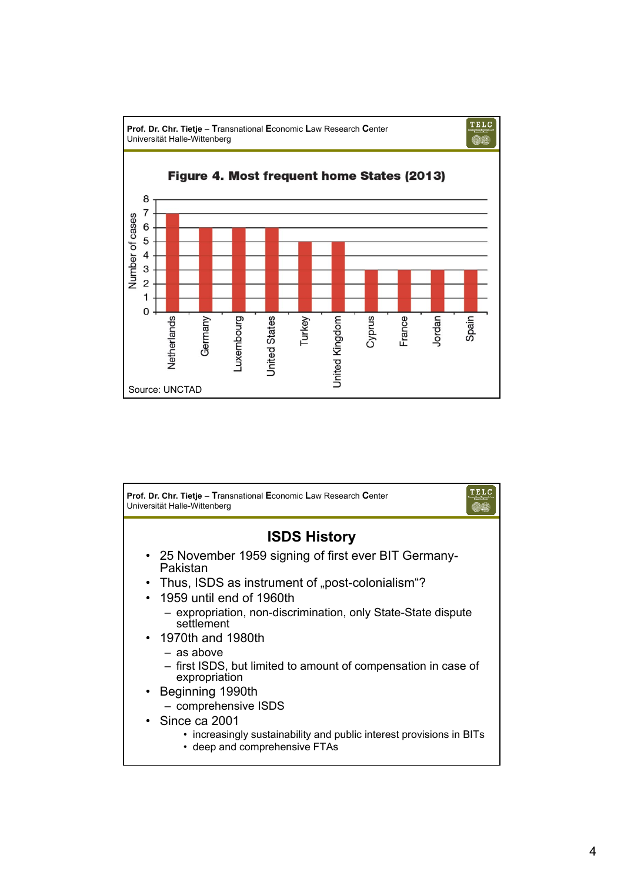

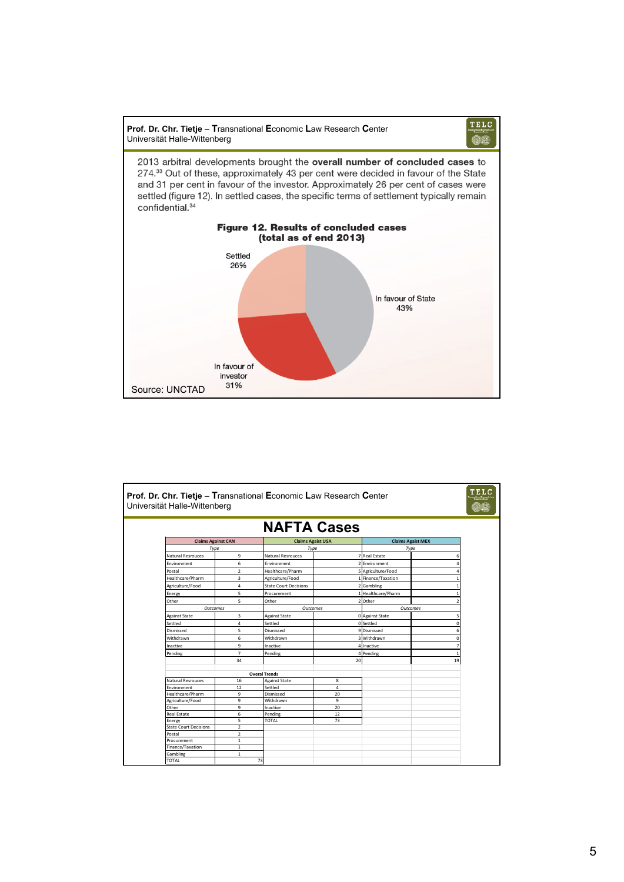

| Prof. Dr. Chr. Tietje - Transnational Economic Law Research Center<br>Universität Halle-Wittenberg |                           |                              |                          |                    |                          |  |  |
|----------------------------------------------------------------------------------------------------|---------------------------|------------------------------|--------------------------|--------------------|--------------------------|--|--|
|                                                                                                    |                           |                              | <b>NAFTA Cases</b>       |                    |                          |  |  |
|                                                                                                    | <b>Claims Against CAN</b> |                              | <b>Claims Agaist USA</b> |                    | <b>Claims Agaist MEX</b> |  |  |
| Type                                                                                               |                           |                              | Type                     | Type               |                          |  |  |
| <b>Natural Resrouces</b>                                                                           | 9                         | <b>Natural Resrouces</b>     |                          | 7 Real Estate      |                          |  |  |
| Environment                                                                                        | 6                         | Environment                  | $\overline{\phantom{a}}$ | Environment        |                          |  |  |
| Postal                                                                                             | $\overline{2}$            | Healthcare/Pharm             |                          | 5 Agriculture/Food |                          |  |  |
| Healthcare/Pharm                                                                                   | 3                         | Agriculture/Food             |                          | 1 Finance/Taxation |                          |  |  |
| Agriculture/Food                                                                                   | 4                         | <b>State Court Decisions</b> |                          | 2 Gambling         |                          |  |  |
| Energy                                                                                             | 5                         | Procurement                  | 1                        | Healthcare/Pharm   |                          |  |  |
| Other                                                                                              | 5                         | Other                        | $\overline{\phantom{a}}$ | Other              | 2                        |  |  |
| Outcomes                                                                                           |                           | <b>Outcomes</b>              |                          | Outcomes           |                          |  |  |
| Against State                                                                                      | 3                         | <b>Against State</b>         |                          | OlAgainst State    | 5                        |  |  |
| Settled                                                                                            | $\overline{4}$            | Settled                      |                          | 0 Settled          | $\mathbf 0$              |  |  |
| Dismissed                                                                                          | 5                         | Dismissed                    |                          | 9 Dismissed        | 6                        |  |  |
| Withdrawn                                                                                          | 6                         | Withdrawn                    |                          | 3 Withdrawn        | $\mathbf 0$              |  |  |
| Inactive                                                                                           | 9                         | Inactive                     |                          | 4 Inactive         | $\overline{7}$           |  |  |
| Pending                                                                                            | $\overline{7}$            | Pending                      |                          | 4 Pending          | $\mathbf{1}$             |  |  |
|                                                                                                    | 34                        |                              | 20                       |                    | 19                       |  |  |
|                                                                                                    |                           |                              |                          |                    |                          |  |  |
|                                                                                                    |                           | <b>Overal Trends</b>         |                          |                    |                          |  |  |
| Natural Resrouces                                                                                  | 16                        | <b>Against State</b>         | 8                        |                    |                          |  |  |
| Environment                                                                                        | 12                        | Settled                      | 4                        |                    |                          |  |  |
| Healthcare/Pharm                                                                                   | 9                         | Dismissed                    | 20                       |                    |                          |  |  |
| Agriculture/Food                                                                                   | 9                         | Withdrawn                    | 9                        |                    |                          |  |  |
| Other                                                                                              | 9                         | Inactive                     | 20                       |                    |                          |  |  |
| Real Estate                                                                                        | 6<br>5                    | Pending                      | 12<br>73                 |                    |                          |  |  |
| Energy<br><b>State Court Decisions</b>                                                             | $\overline{2}$            | TOTAL                        |                          |                    |                          |  |  |
| Postal                                                                                             | $\overline{2}$            |                              |                          |                    |                          |  |  |
| Procurement                                                                                        | $\mathbf{1}$              |                              |                          |                    |                          |  |  |
| Finance/Taxation                                                                                   | $\mathbf{1}$              |                              |                          |                    |                          |  |  |
| Gambling                                                                                           | $\mathbf{1}$              |                              |                          |                    |                          |  |  |
| <b>TOTAL</b>                                                                                       | 73                        |                              |                          |                    |                          |  |  |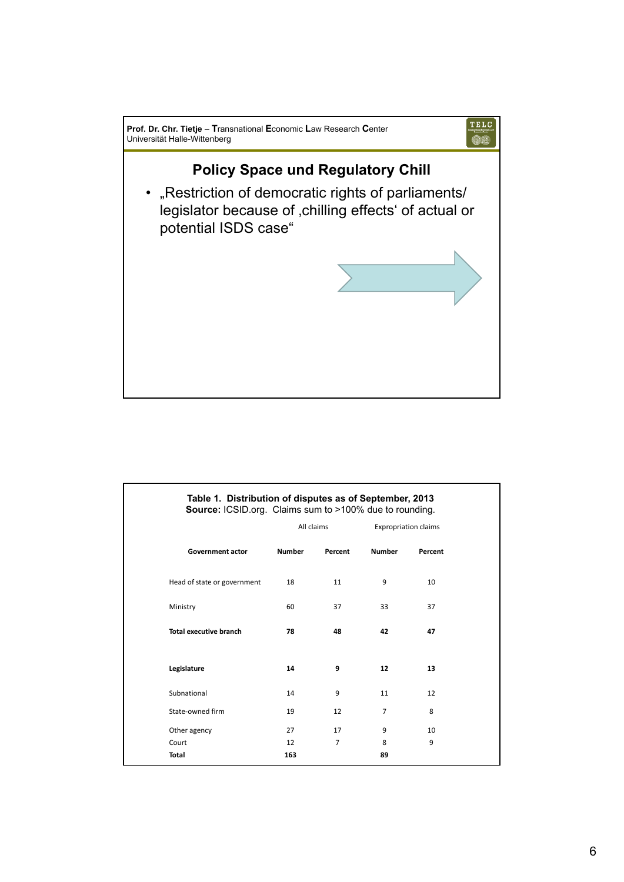

|                               | Table 1. Distribution of disputes as of September, 2013<br>Source: ICSID.org. Claims sum to >100% due to rounding. |                |                             |         |  |  |  |  |  |
|-------------------------------|--------------------------------------------------------------------------------------------------------------------|----------------|-----------------------------|---------|--|--|--|--|--|
|                               | All claims                                                                                                         |                | <b>Expropriation claims</b> |         |  |  |  |  |  |
| <b>Government actor</b>       | <b>Number</b>                                                                                                      | Percent        | <b>Number</b>               | Percent |  |  |  |  |  |
| Head of state or government   | 18                                                                                                                 | 11             | 9                           | 10      |  |  |  |  |  |
| Ministry                      | 60                                                                                                                 | 37             | 33                          | 37      |  |  |  |  |  |
| <b>Total executive branch</b> | 78                                                                                                                 | 48             | 42                          | 47      |  |  |  |  |  |
| Legislature                   | 14                                                                                                                 | 9              | 12                          | 13      |  |  |  |  |  |
| Subnational                   | 14                                                                                                                 | 9              | 11                          | 12      |  |  |  |  |  |
| State-owned firm              | 19                                                                                                                 | 12             | $\overline{7}$              | 8       |  |  |  |  |  |
| Other agency                  | 27                                                                                                                 | 17             | 9                           | 10      |  |  |  |  |  |
| Court                         | 12                                                                                                                 | $\overline{7}$ | 8                           | 9       |  |  |  |  |  |
| <b>Total</b>                  | 163                                                                                                                |                | 89                          |         |  |  |  |  |  |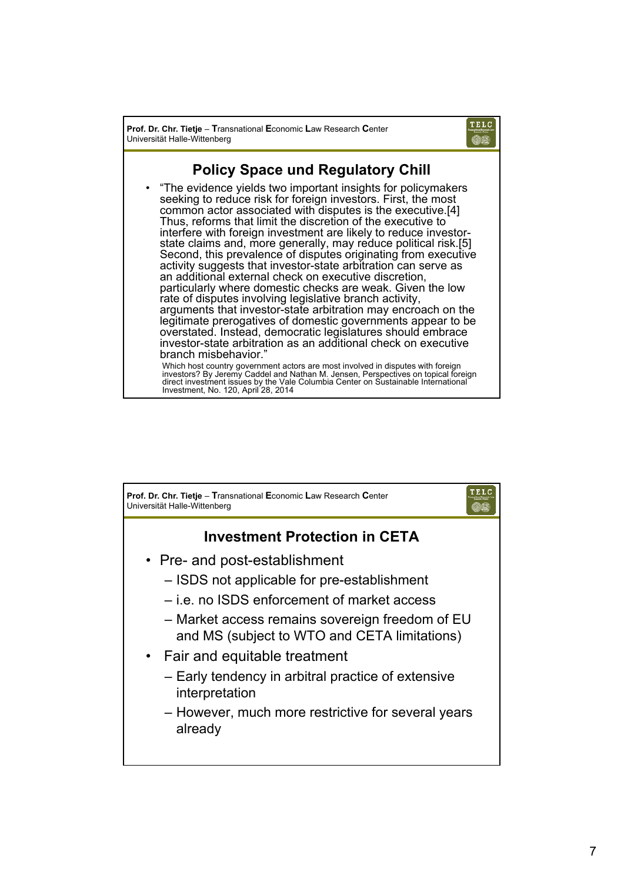**Prof. Dr. Chr. Tietje** – **T**ransnational **E**conomic **L**aw Research **C**enter Universität Halle-Wittenberg



## **Policy Space und Regulatory Chill**

• "The evidence yields two important insights for policymakers seeking to reduce risk for foreign investors. First, the most common actor associated with disputes is the executive.[4] Thus, reforms that limit the discretion of the executive to interfere with foreign investment are likely to reduce investor- state claims and, more generally, may reduce political risk.[5] Second, this prevalence of disputes originating from executive activity suggests that investor-state arbitration can serve as an additional external check on executive discretion, particularly where domestic checks are weak. Given the low rate of disputes involving legislative branch activity, arguments that investor-state arbitration may encroach on the legitimate prerogatives of domestic governments appear to be overstated. Instead, democratic legislatures should embrace investor-state arbitration as an additional check on executive branch misbehavior.' Which host country government actors are most involved in disputes with foreign<br>investors? By Jeremy Caddel and Nathan M. Jensen, Perspectives on topical foreign<br>direct investment issues by the Vale Columbia Center on Sust

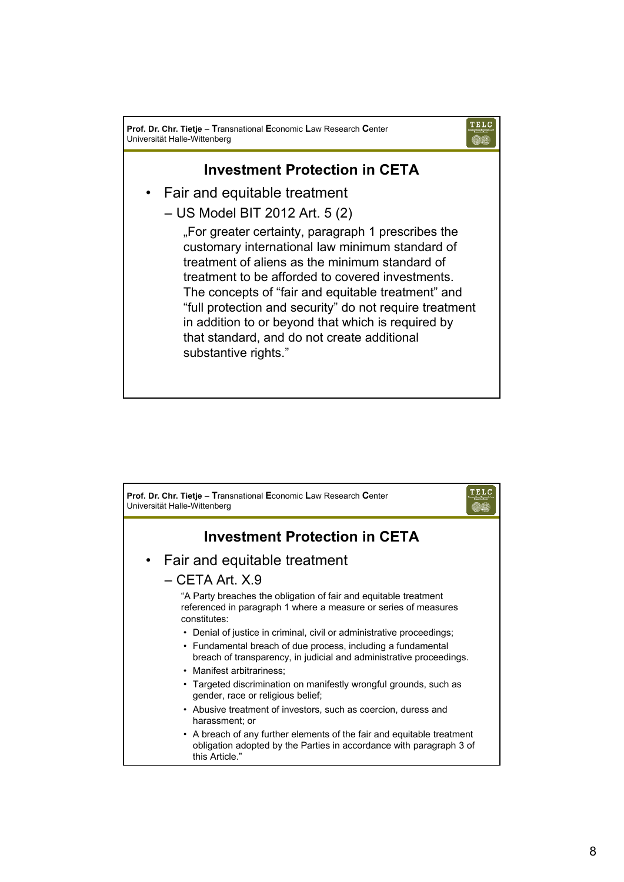**Prof. Dr. Chr. Tietje** – **T**ransnational **E**conomic **L**aw Research **C**enter Universität Halle-Wittenberg



## **Investment Protection in CETA**

- Fair and equitable treatment
	- US Model BIT 2012 Art. 5 (2)

"For greater certainty, paragraph 1 prescribes the customary international law minimum standard of treatment of aliens as the minimum standard of treatment to be afforded to covered investments. The concepts of "fair and equitable treatment" and "full protection and security" do not require treatment in addition to or beyond that which is required by that standard, and do not create additional substantive rights."

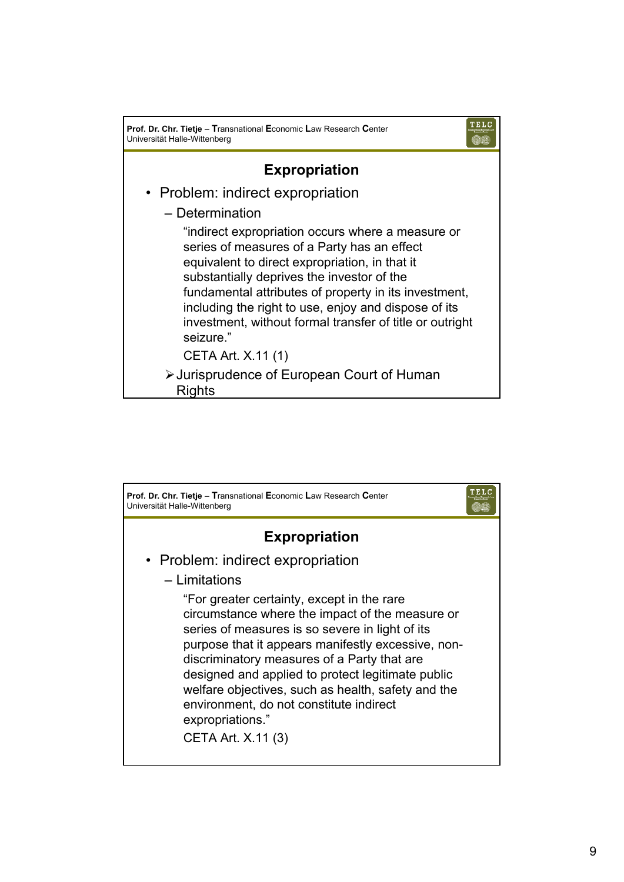| Universität Halle-Wittenberg                                                                                                                                                                                                                                                                                                                                                               |  |  |  |  |  |  |
|--------------------------------------------------------------------------------------------------------------------------------------------------------------------------------------------------------------------------------------------------------------------------------------------------------------------------------------------------------------------------------------------|--|--|--|--|--|--|
| <b>Expropriation</b>                                                                                                                                                                                                                                                                                                                                                                       |  |  |  |  |  |  |
| • Problem: indirect expropriation                                                                                                                                                                                                                                                                                                                                                          |  |  |  |  |  |  |
| - Determination                                                                                                                                                                                                                                                                                                                                                                            |  |  |  |  |  |  |
| "indirect expropriation occurs where a measure or<br>series of measures of a Party has an effect<br>equivalent to direct expropriation, in that it<br>substantially deprives the investor of the<br>fundamental attributes of property in its investment,<br>including the right to use, enjoy and dispose of its<br>investment, without formal transfer of title or outright<br>seizure." |  |  |  |  |  |  |
| CETA Art. X.11 (1)                                                                                                                                                                                                                                                                                                                                                                         |  |  |  |  |  |  |
| ≻ Jurisprudence of European Court of Human<br>Rights                                                                                                                                                                                                                                                                                                                                       |  |  |  |  |  |  |

TELC

**Prof. Dr. Chr. Tietje** – **T**ransnational **E**conomic **L**aw Research **C**enter

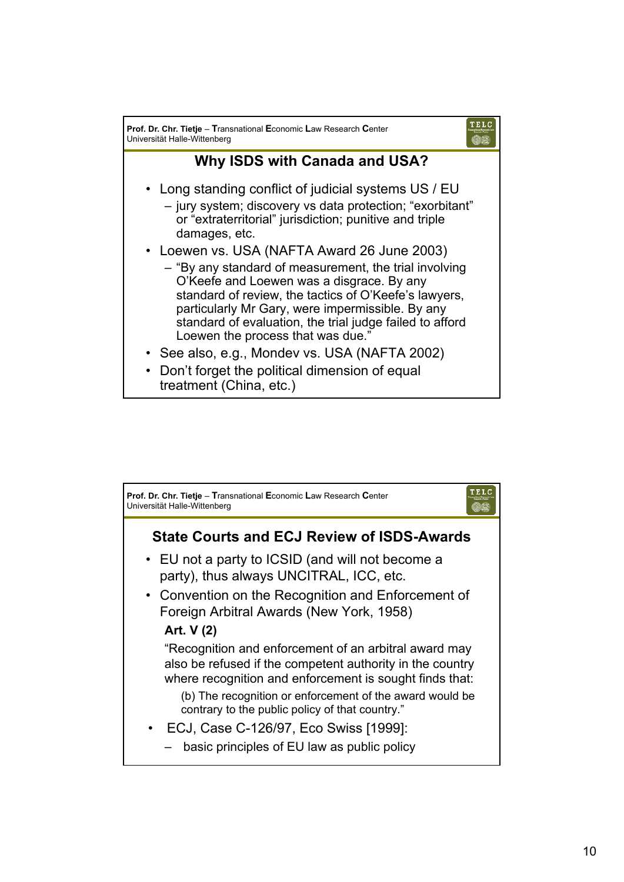